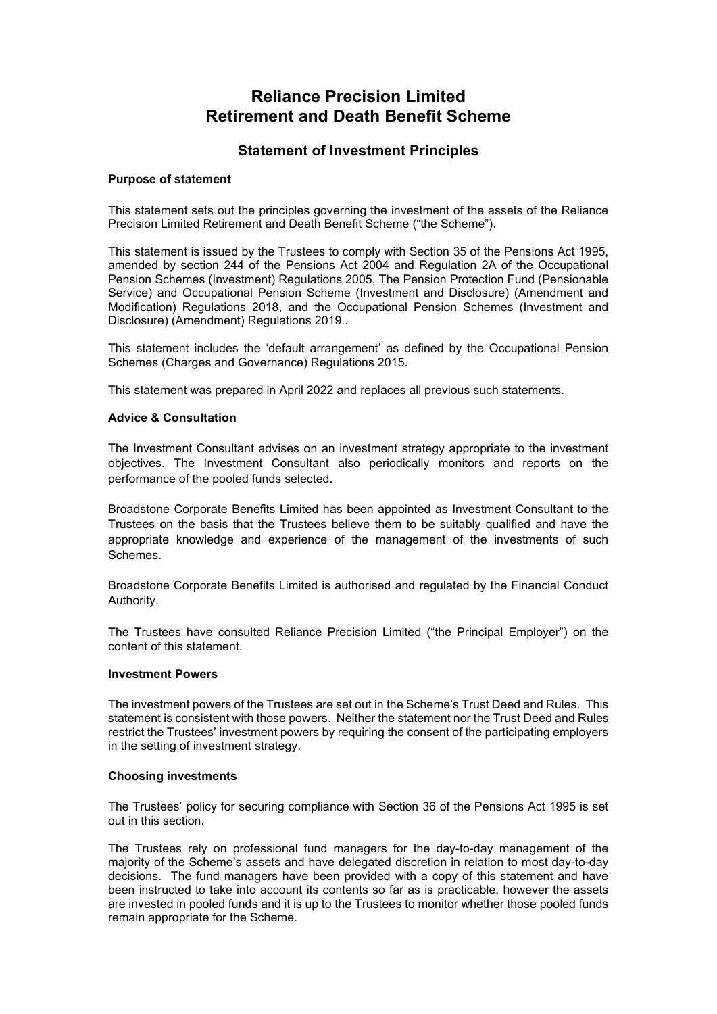# **Reliance Precision Limited Retirement and Death Benefit Scheme**

## **Statement of Investment Principles**

#### **Purpose of statement**

This statement sets out the principles governing the investment of the assets of the Reliance Precision Limited Retirement and Death Benefit Scheme ("the Scheme").

This statement is issued by the Trustees to comply with Section 35 of the Pensions Act 1995, amended by section 244 of the Pensions Act 2004 and Regulation 2A of the Occupational Pension Schemes (Investment) Regulations 2005, The Pension Protection Fund (Pensionable Service) and Occupational Pension Scheme (Investment and Disclosure) (Amendment and Modification) Regulations 2018, and the Occupational Pension Schemes (Investment and Disclosure) (Amendment) Regulations 2019..

This statement includes the 'default arrangement' as defined by the Occupational Pension Schemes (Charges and Governance) Regulations 2015.

This statement was prepared in April 2022 and replaces all previous such statements.

#### **Advice & Consultation**

The Investment Consultant advises on an investment strategy appropriate to the investment objectives. The Investment Consultant also periodically monitors and reports on the performance of the pooled funds selected.

Broadstone Corporate Benefits Limited has been appointed as Investment Consultant to the Trustees on the basis that the Trustees believe them to be suitably qualified and have the appropriate knowledge and experience of the management of the investments of such Schemes.

Broadstone Corporate Benefits Limited is authorised and regulated by the Financial Conduct Authority.

The Trustees have consulted Reliance Precision Limited ("the Principal Employer") on the content of this statement.

#### **Investment Powers**

The investment powers of the Trustees are set out in the Scheme's Trust Deed and Rules. This statement is consistent with those powers. Neither the statement nor the Trust Deed and Rules restrict the Trustees' investment powers by requiring the consent of the participating employers in the setting of investment strategy.

#### **Choosing investments**

The Trustees' policy for securing compliance with Section 36 of the Pensions Act 1995 is set out in this section.

The Trustees rely on professional fund managers for the day-to-day management of the majority of the Scheme's assets and have delegated discretion in relation to most day-to-day decisions. The fund managers have been provided with a copy of this statement and have been instructed to take into account its contents so far as is practicable, however the assets are invested in pooled funds and it is up to the Trustees to monitor whether those pooled funds remain appropriate for the Scheme.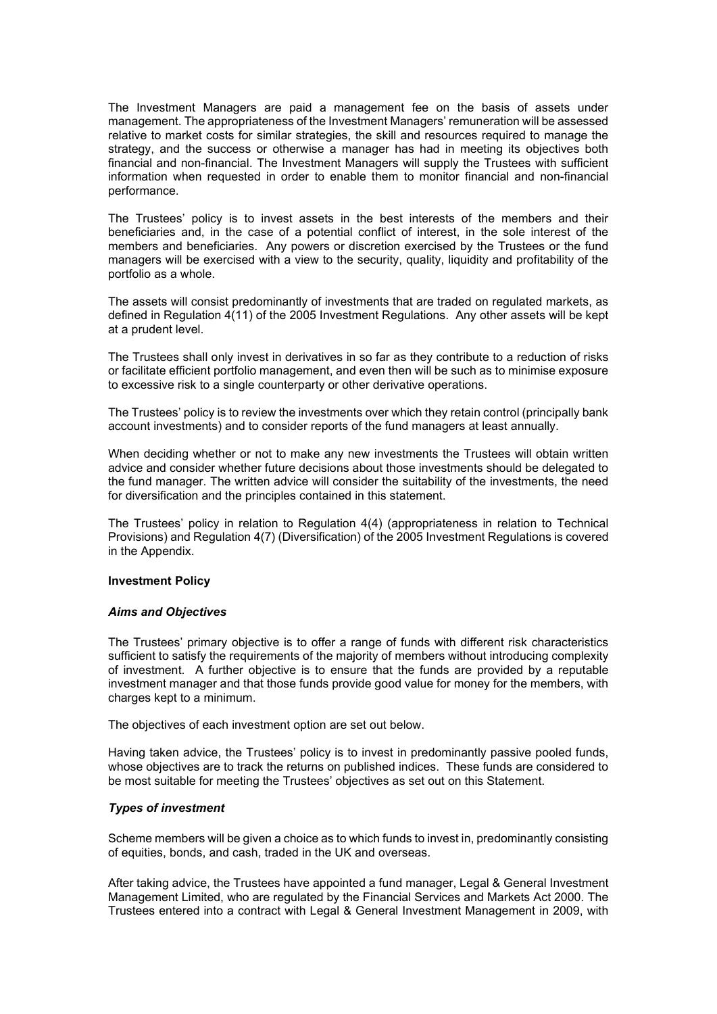The Investment Managers are paid a management fee on the basis of assets under management. The appropriateness of the Investment Managers' remuneration will be assessed relative to market costs for similar strategies, the skill and resources required to manage the strategy, and the success or otherwise a manager has had in meeting its objectives both financial and non-financial. The Investment Managers will supply the Trustees with sufficient information when requested in order to enable them to monitor financial and non-financial performance.

The Trustees' policy is to invest assets in the best interests of the members and their beneficiaries and, in the case of a potential conflict of interest, in the sole interest of the members and beneficiaries. Any powers or discretion exercised by the Trustees or the fund managers will be exercised with a view to the security, quality, liquidity and profitability of the portfolio as a whole.

The assets will consist predominantly of investments that are traded on regulated markets, as defined in Regulation 4(11) of the 2005 Investment Regulations. Any other assets will be kept at a prudent level.

The Trustees shall only invest in derivatives in so far as they contribute to a reduction of risks or facilitate efficient portfolio management, and even then will be such as to minimise exposure to excessive risk to a single counterparty or other derivative operations.

The Trustees' policy is to review the investments over which they retain control (principally bank account investments) and to consider reports of the fund managers at least annually.

When deciding whether or not to make any new investments the Trustees will obtain written advice and consider whether future decisions about those investments should be delegated to the fund manager. The written advice will consider the suitability of the investments, the need for diversification and the principles contained in this statement.

The Trustees' policy in relation to Regulation 4(4) (appropriateness in relation to Technical Provisions) and Regulation 4(7) (Diversification) of the 2005 Investment Regulations is covered in the Appendix.

#### **Investment Policy**

#### *Aims and Objectives*

The Trustees' primary objective is to offer a range of funds with different risk characteristics sufficient to satisfy the requirements of the majority of members without introducing complexity of investment. A further objective is to ensure that the funds are provided by a reputable investment manager and that those funds provide good value for money for the members, with charges kept to a minimum.

The objectives of each investment option are set out below.

Having taken advice, the Trustees' policy is to invest in predominantly passive pooled funds, whose objectives are to track the returns on published indices. These funds are considered to be most suitable for meeting the Trustees' objectives as set out on this Statement.

#### *Types of investment*

Scheme members will be given a choice as to which funds to invest in, predominantly consisting of equities, bonds, and cash, traded in the UK and overseas.

After taking advice, the Trustees have appointed a fund manager, Legal & General Investment Management Limited, who are regulated by the Financial Services and Markets Act 2000. The Trustees entered into a contract with Legal & General Investment Management in 2009, with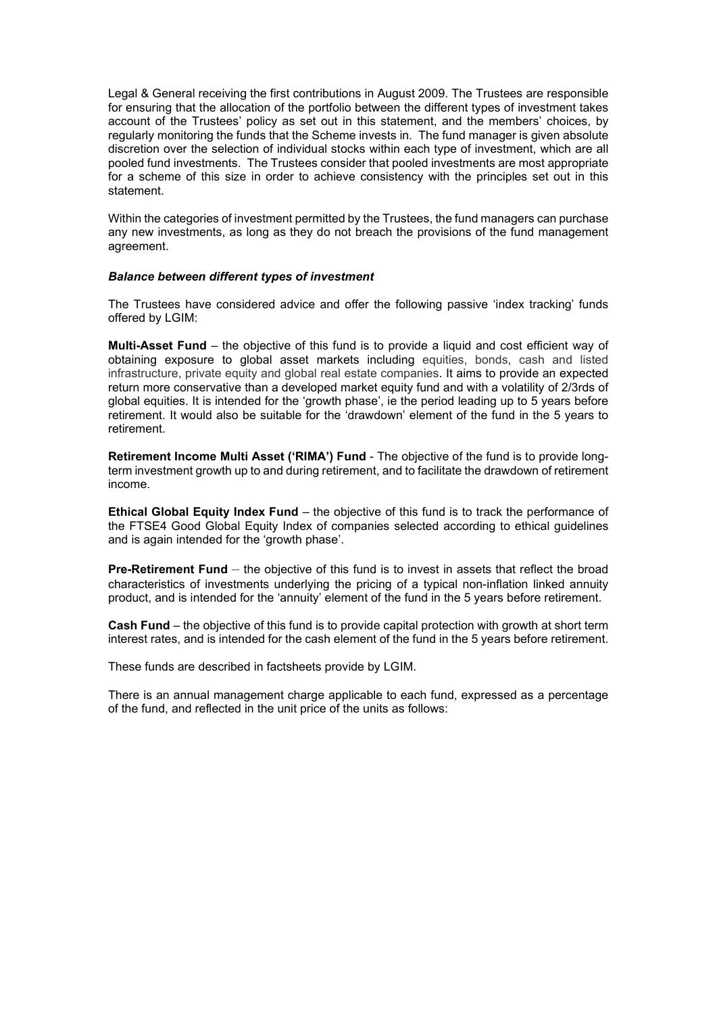Legal & General receiving the first contributions in August 2009. The Trustees are responsible for ensuring that the allocation of the portfolio between the different types of investment takes account of the Trustees' policy as set out in this statement, and the members' choices, by regularly monitoring the funds that the Scheme invests in. The fund manager is given absolute discretion over the selection of individual stocks within each type of investment, which are all pooled fund investments. The Trustees consider that pooled investments are most appropriate for a scheme of this size in order to achieve consistency with the principles set out in this statement.

Within the categories of investment permitted by the Trustees, the fund managers can purchase any new investments, as long as they do not breach the provisions of the fund management agreement.

#### *Balance between different types of investment*

The Trustees have considered advice and offer the following passive 'index tracking' funds offered by LGIM:

**Multi-Asset Fund** – the objective of this fund is to provide a liquid and cost efficient way of obtaining exposure to global asset markets including equities, bonds, cash and listed infrastructure, private equity and global real estate companies. It aims to provide an expected return more conservative than a developed market equity fund and with a volatility of 2/3rds of global equities. It is intended for the 'growth phase', ie the period leading up to 5 years before retirement. It would also be suitable for the 'drawdown' element of the fund in the 5 years to retirement.

**Retirement Income Multi Asset ('RIMA') Fund** - The objective of the fund is to provide longterm investment growth up to and during retirement, and to facilitate the drawdown of retirement income.

**Ethical Global Equity Index Fund** – the objective of this fund is to track the performance of the FTSE4 Good Global Equity Index of companies selected according to ethical guidelines and is again intended for the 'growth phase'.

**Pre-Retirement Fund** – the objective of this fund is to invest in assets that reflect the broad characteristics of investments underlying the pricing of a typical non-inflation linked annuity product, and is intended for the 'annuity' element of the fund in the 5 years before retirement.

**Cash Fund** – the objective of this fund is to provide capital protection with growth at short term interest rates, and is intended for the cash element of the fund in the 5 years before retirement.

These funds are described in factsheets provide by LGIM.

There is an annual management charge applicable to each fund, expressed as a percentage of the fund, and reflected in the unit price of the units as follows: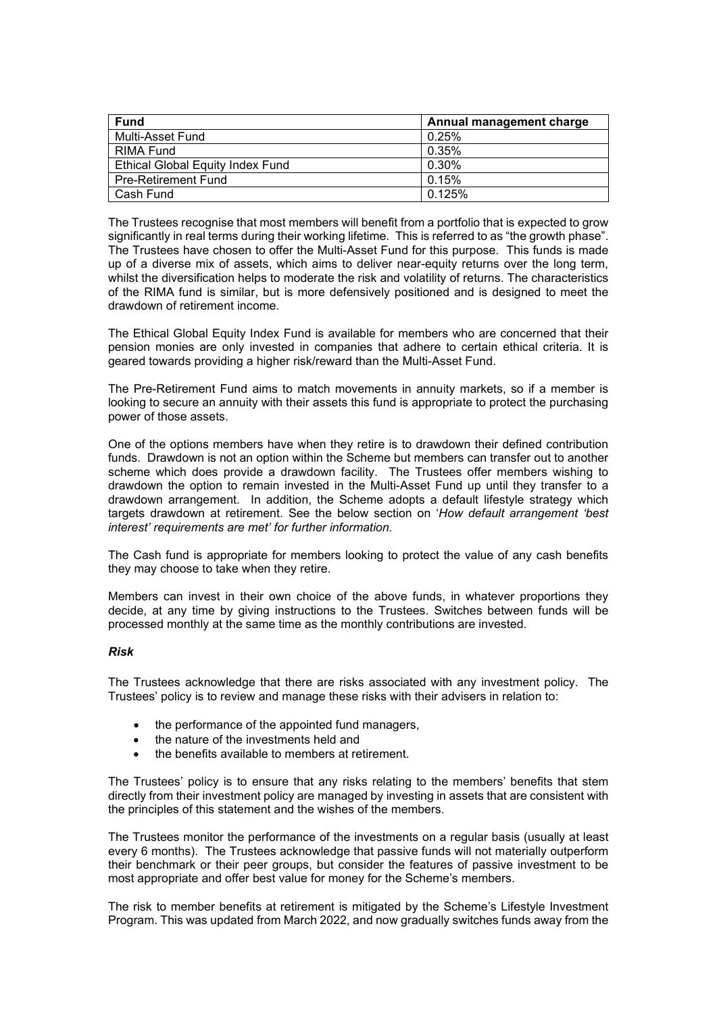| <b>Fund</b>                             | Annual management charge |
|-----------------------------------------|--------------------------|
| Multi-Asset Fund                        | 0.25%                    |
| RIMA Fund                               | 0.35%                    |
| <b>Ethical Global Equity Index Fund</b> | 0.30%                    |
| <b>Pre-Retirement Fund</b>              | 0.15%                    |
| Cash Fund                               | 0.125%                   |

The Trustees recognise that most members will benefit from a portfolio that is expected to grow significantly in real terms during their working lifetime. This is referred to as "the growth phase". The Trustees have chosen to offer the Multi-Asset Fund for this purpose. This funds is made up of a diverse mix of assets, which aims to deliver near-equity returns over the long term, whilst the diversification helps to moderate the risk and volatility of returns. The characteristics of the RIMA fund is similar, but is more defensively positioned and is designed to meet the drawdown of retirement income.

The Ethical Global Equity Index Fund is available for members who are concerned that their pension monies are only invested in companies that adhere to certain ethical criteria. It is geared towards providing a higher risk/reward than the Multi-Asset Fund.

The Pre-Retirement Fund aims to match movements in annuity markets, so if a member is looking to secure an annuity with their assets this fund is appropriate to protect the purchasing power of those assets.

One of the options members have when they retire is to drawdown their defined contribution funds. Drawdown is not an option within the Scheme but members can transfer out to another scheme which does provide a drawdown facility. The Trustees offer members wishing to drawdown the option to remain invested in the Multi-Asset Fund up until they transfer to a drawdown arrangement. In addition, the Scheme adopts a default lifestyle strategy which targets drawdown at retirement. See the below section on '*How default arrangement 'best interest' requirements are met' for further information.*

The Cash fund is appropriate for members looking to protect the value of any cash benefits they may choose to take when they retire.

Members can invest in their own choice of the above funds, in whatever proportions they decide, at any time by giving instructions to the Trustees. Switches between funds will be processed monthly at the same time as the monthly contributions are invested.

#### *Risk*

The Trustees acknowledge that there are risks associated with any investment policy. The Trustees' policy is to review and manage these risks with their advisers in relation to:

- the performance of the appointed fund managers,
- the nature of the investments held and
- the benefits available to members at retirement.

The Trustees' policy is to ensure that any risks relating to the members' benefits that stem directly from their investment policy are managed by investing in assets that are consistent with the principles of this statement and the wishes of the members.

The Trustees monitor the performance of the investments on a regular basis (usually at least every 6 months). The Trustees acknowledge that passive funds will not materially outperform their benchmark or their peer groups, but consider the features of passive investment to be most appropriate and offer best value for money for the Scheme's members.

The risk to member benefits at retirement is mitigated by the Scheme's Lifestyle Investment Program. This was updated from March 2022, and now gradually switches funds away from the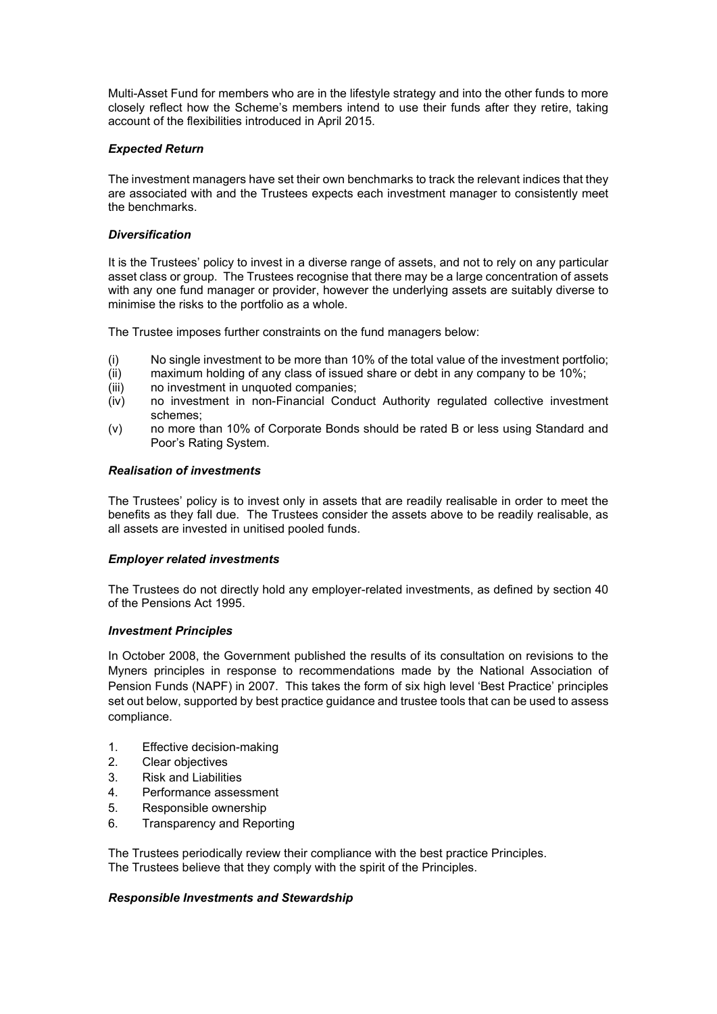Multi-Asset Fund for members who are in the lifestyle strategy and into the other funds to more closely reflect how the Scheme's members intend to use their funds after they retire, taking account of the flexibilities introduced in April 2015.

### *Expected Return*

The investment managers have set their own benchmarks to track the relevant indices that they are associated with and the Trustees expects each investment manager to consistently meet the benchmarks.

#### *Diversification*

It is the Trustees' policy to invest in a diverse range of assets, and not to rely on any particular asset class or group. The Trustees recognise that there may be a large concentration of assets with any one fund manager or provider, however the underlying assets are suitably diverse to minimise the risks to the portfolio as a whole.

The Trustee imposes further constraints on the fund managers below:

- (i) No single investment to be more than 10% of the total value of the investment portfolio;<br>(ii) maximum holding of any class of issued share or debt in any company to be 10%;
- maximum holding of any class of issued share or debt in any company to be 10%;
- (iii) no investment in unquoted companies;
- (iv) no investment in non-Financial Conduct Authority regulated collective investment schemes;
- (v) no more than 10% of Corporate Bonds should be rated B or less using Standard and Poor's Rating System.

## *Realisation of investments*

The Trustees' policy is to invest only in assets that are readily realisable in order to meet the benefits as they fall due. The Trustees consider the assets above to be readily realisable, as all assets are invested in unitised pooled funds.

#### *Employer related investments*

The Trustees do not directly hold any employer-related investments, as defined by section 40 of the Pensions Act 1995.

#### *Investment Principles*

In October 2008, the Government published the results of its consultation on revisions to the Myners principles in response to recommendations made by the National Association of Pension Funds (NAPF) in 2007. This takes the form of six high level 'Best Practice' principles set out below, supported by best practice guidance and trustee tools that can be used to assess compliance.

- 1. Effective decision-making
- 2. Clear objectives
- 3. Risk and Liabilities
- 4. Performance assessment
- 5. Responsible ownership
- 6. Transparency and Reporting

The Trustees periodically review their compliance with the best practice Principles. The Trustees believe that they comply with the spirit of the Principles.

#### *Responsible Investments and Stewardship*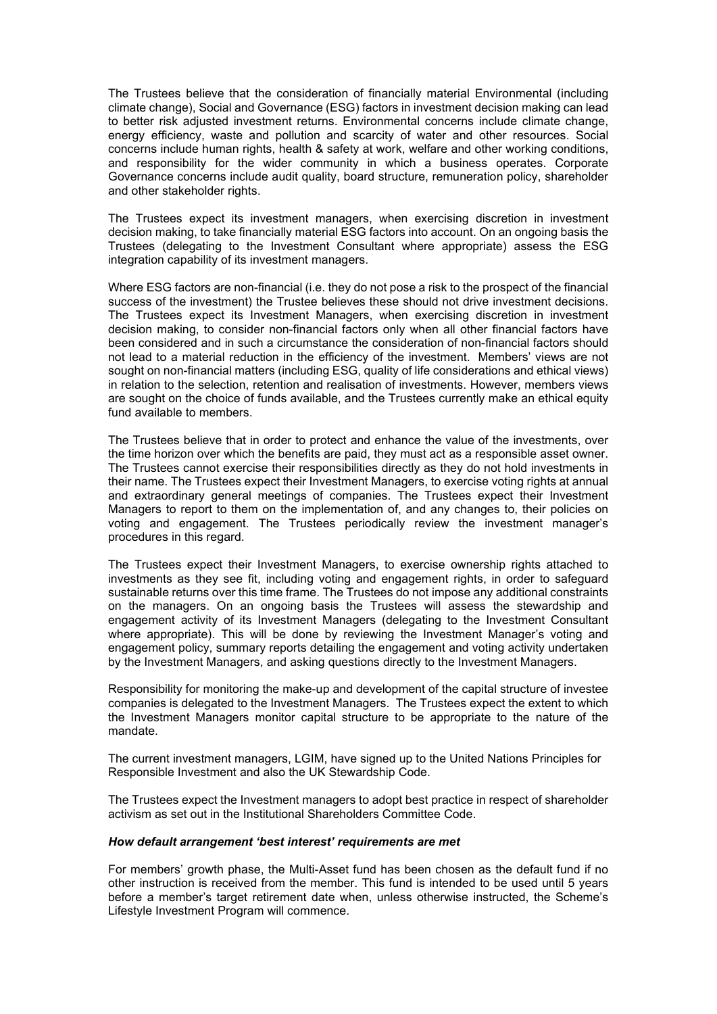The Trustees believe that the consideration of financially material Environmental (including climate change), Social and Governance (ESG) factors in investment decision making can lead to better risk adjusted investment returns. Environmental concerns include climate change, energy efficiency, waste and pollution and scarcity of water and other resources. Social concerns include human rights, health & safety at work, welfare and other working conditions, and responsibility for the wider community in which a business operates. Corporate Governance concerns include audit quality, board structure, remuneration policy, shareholder and other stakeholder rights.

The Trustees expect its investment managers, when exercising discretion in investment decision making, to take financially material ESG factors into account. On an ongoing basis the Trustees (delegating to the Investment Consultant where appropriate) assess the ESG integration capability of its investment managers.

Where ESG factors are non-financial (i.e. they do not pose a risk to the prospect of the financial success of the investment) the Trustee believes these should not drive investment decisions. The Trustees expect its Investment Managers, when exercising discretion in investment decision making, to consider non-financial factors only when all other financial factors have been considered and in such a circumstance the consideration of non-financial factors should not lead to a material reduction in the efficiency of the investment. Members' views are not sought on non-financial matters (including ESG, quality of life considerations and ethical views) in relation to the selection, retention and realisation of investments. However, members views are sought on the choice of funds available, and the Trustees currently make an ethical equity fund available to members.

The Trustees believe that in order to protect and enhance the value of the investments, over the time horizon over which the benefits are paid, they must act as a responsible asset owner. The Trustees cannot exercise their responsibilities directly as they do not hold investments in their name. The Trustees expect their Investment Managers, to exercise voting rights at annual and extraordinary general meetings of companies. The Trustees expect their Investment Managers to report to them on the implementation of, and any changes to, their policies on voting and engagement. The Trustees periodically review the investment manager's procedures in this regard.

The Trustees expect their Investment Managers, to exercise ownership rights attached to investments as they see fit, including voting and engagement rights, in order to safeguard sustainable returns over this time frame. The Trustees do not impose any additional constraints on the managers. On an ongoing basis the Trustees will assess the stewardship and engagement activity of its Investment Managers (delegating to the Investment Consultant where appropriate). This will be done by reviewing the Investment Manager's voting and engagement policy, summary reports detailing the engagement and voting activity undertaken by the Investment Managers, and asking questions directly to the Investment Managers.

Responsibility for monitoring the make-up and development of the capital structure of investee companies is delegated to the Investment Managers. The Trustees expect the extent to which the Investment Managers monitor capital structure to be appropriate to the nature of the mandate.

The current investment managers, LGIM, have signed up to the United Nations Principles for Responsible Investment and also the UK Stewardship Code.

The Trustees expect the Investment managers to adopt best practice in respect of shareholder activism as set out in the Institutional Shareholders Committee Code.

#### *How default arrangement 'best interest' requirements are met*

For members' growth phase, the Multi-Asset fund has been chosen as the default fund if no other instruction is received from the member. This fund is intended to be used until 5 years before a member's target retirement date when, unless otherwise instructed, the Scheme's Lifestyle Investment Program will commence.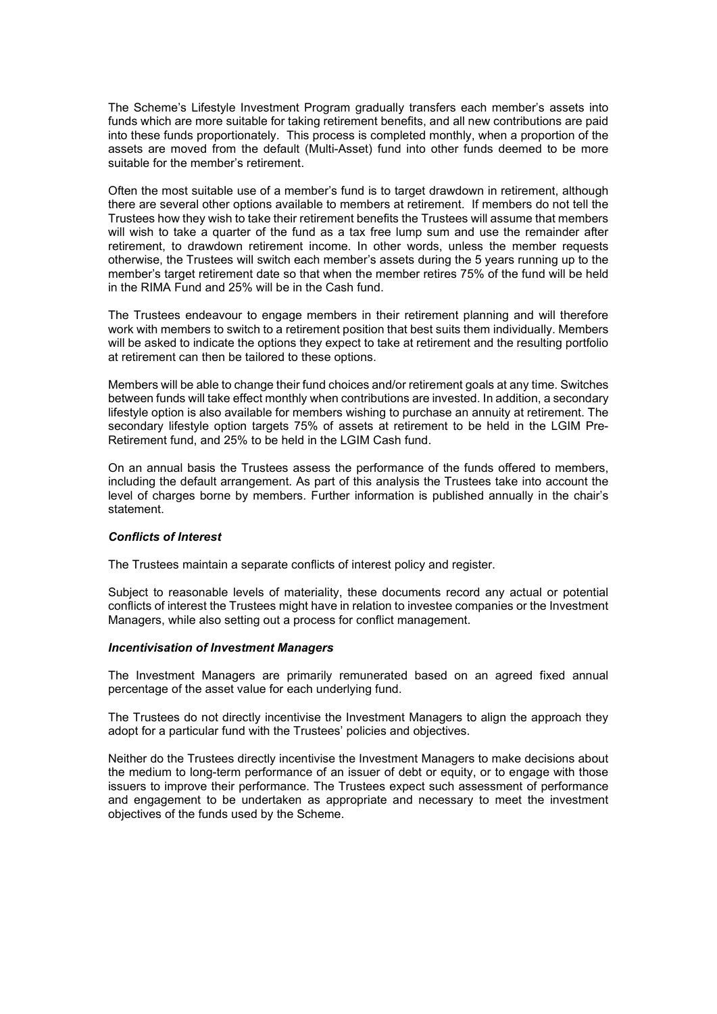The Scheme's Lifestyle Investment Program gradually transfers each member's assets into funds which are more suitable for taking retirement benefits, and all new contributions are paid into these funds proportionately. This process is completed monthly, when a proportion of the assets are moved from the default (Multi-Asset) fund into other funds deemed to be more suitable for the member's retirement.

Often the most suitable use of a member's fund is to target drawdown in retirement, although there are several other options available to members at retirement. If members do not tell the Trustees how they wish to take their retirement benefits the Trustees will assume that members will wish to take a quarter of the fund as a tax free lump sum and use the remainder after retirement, to drawdown retirement income. In other words, unless the member requests otherwise, the Trustees will switch each member's assets during the 5 years running up to the member's target retirement date so that when the member retires 75% of the fund will be held in the RIMA Fund and 25% will be in the Cash fund.

The Trustees endeavour to engage members in their retirement planning and will therefore work with members to switch to a retirement position that best suits them individually. Members will be asked to indicate the options they expect to take at retirement and the resulting portfolio at retirement can then be tailored to these options.

Members will be able to change their fund choices and/or retirement goals at any time. Switches between funds will take effect monthly when contributions are invested. In addition, a secondary lifestyle option is also available for members wishing to purchase an annuity at retirement. The secondary lifestyle option targets 75% of assets at retirement to be held in the LGIM Pre-Retirement fund, and 25% to be held in the LGIM Cash fund.

On an annual basis the Trustees assess the performance of the funds offered to members, including the default arrangement. As part of this analysis the Trustees take into account the level of charges borne by members. Further information is published annually in the chair's statement.

#### *Conflicts of Interest*

The Trustees maintain a separate conflicts of interest policy and register.

Subject to reasonable levels of materiality, these documents record any actual or potential conflicts of interest the Trustees might have in relation to investee companies or the Investment Managers, while also setting out a process for conflict management.

#### *Incentivisation of Investment Managers*

The Investment Managers are primarily remunerated based on an agreed fixed annual percentage of the asset value for each underlying fund.

The Trustees do not directly incentivise the Investment Managers to align the approach they adopt for a particular fund with the Trustees' policies and objectives.

Neither do the Trustees directly incentivise the Investment Managers to make decisions about the medium to long-term performance of an issuer of debt or equity, or to engage with those issuers to improve their performance. The Trustees expect such assessment of performance and engagement to be undertaken as appropriate and necessary to meet the investment objectives of the funds used by the Scheme.